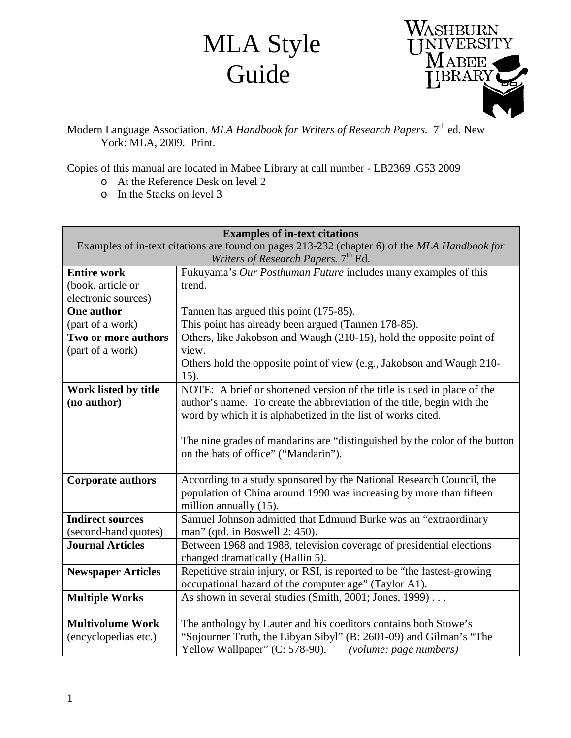## MLA Style Guide



Modern Language Association. *MLA Handbook for Writers of Research Papers.* 7<sup>th</sup> ed. New York: MLA, 2009. Print.

Copies of this manual are located in Mabee Library at call number - LB2369 .G53 2009

- o At the Reference Desk on level 2
- o In the Stacks on level 3

| <b>Examples of in-text citations</b>                                                         |                                                                            |
|----------------------------------------------------------------------------------------------|----------------------------------------------------------------------------|
| Examples of in-text citations are found on pages 213-232 (chapter 6) of the MLA Handbook for |                                                                            |
|                                                                                              | Writers of Research Papers. 7th Ed.                                        |
| <b>Entire work</b>                                                                           | Fukuyama's Our Posthuman Future includes many examples of this             |
| (book, article or                                                                            | trend.                                                                     |
| electronic sources)                                                                          |                                                                            |
| <b>One author</b>                                                                            | Tannen has argued this point (175-85).                                     |
| (part of a work)                                                                             | This point has already been argued (Tannen 178-85).                        |
| Two or more authors                                                                          | Others, like Jakobson and Waugh (210-15), hold the opposite point of       |
| (part of a work)                                                                             | view.                                                                      |
|                                                                                              | Others hold the opposite point of view (e.g., Jakobson and Waugh 210-      |
|                                                                                              | 15).                                                                       |
| Work listed by title                                                                         | NOTE: A brief or shortened version of the title is used in place of the    |
| (no author)                                                                                  | author's name. To create the abbreviation of the title, begin with the     |
|                                                                                              | word by which it is alphabetized in the list of works cited.               |
|                                                                                              |                                                                            |
|                                                                                              | The nine grades of mandarins are "distinguished by the color of the button |
|                                                                                              | on the hats of office" ("Mandarin").                                       |
|                                                                                              |                                                                            |
| <b>Corporate authors</b>                                                                     | According to a study sponsored by the National Research Council, the       |
|                                                                                              | population of China around 1990 was increasing by more than fifteen        |
|                                                                                              | million annually (15).                                                     |
| <b>Indirect sources</b>                                                                      | Samuel Johnson admitted that Edmund Burke was an "extraordinary            |
| (second-hand quotes)                                                                         | man" (qtd. in Boswell 2: 450).                                             |
| <b>Journal Articles</b>                                                                      | Between 1968 and 1988, television coverage of presidential elections       |
|                                                                                              | changed dramatically (Hallin 5).                                           |
| <b>Newspaper Articles</b>                                                                    | Repetitive strain injury, or RSI, is reported to be "the fastest-growing   |
|                                                                                              | occupational hazard of the computer age" (Taylor A1).                      |
| <b>Multiple Works</b>                                                                        | As shown in several studies (Smith, 2001; Jones, 1999)                     |
|                                                                                              |                                                                            |
| <b>Multivolume Work</b>                                                                      | The anthology by Lauter and his coeditors contains both Stowe's            |
| (encyclopedias etc.)                                                                         | "Sojourner Truth, the Libyan Sibyl" (B: 2601-09) and Gilman's "The         |
|                                                                                              | Yellow Wallpaper" (C: 578-90). (volume: page numbers)                      |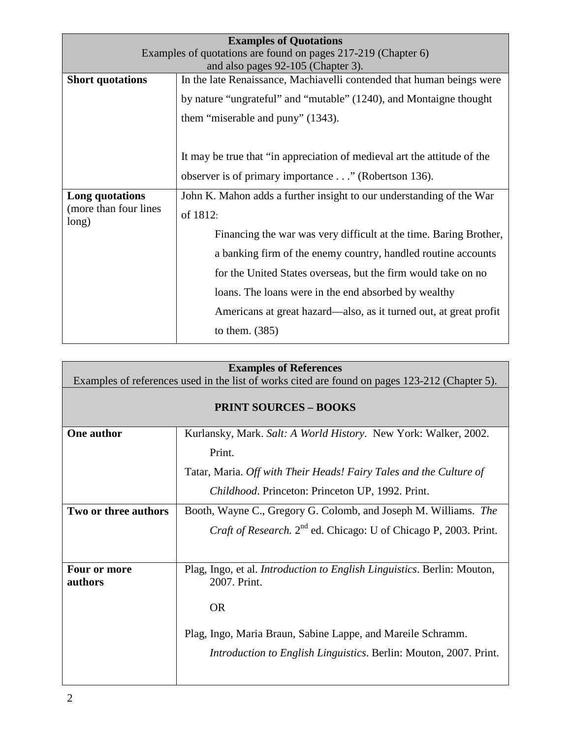| <b>Examples of Quotations</b>                                 |                                                                          |
|---------------------------------------------------------------|--------------------------------------------------------------------------|
| Examples of quotations are found on pages 217-219 (Chapter 6) |                                                                          |
|                                                               | and also pages 92-105 (Chapter 3).                                       |
| <b>Short quotations</b>                                       | In the late Renaissance, Machiavelli contended that human beings were    |
|                                                               | by nature "ungrateful" and "mutable" (1240), and Montaigne thought       |
|                                                               | them "miserable and puny" (1343).                                        |
|                                                               |                                                                          |
|                                                               | It may be true that "in appreciation of medieval art the attitude of the |
|                                                               | observer is of primary importance" (Robertson 136).                      |
| Long quotations<br>(more than four lines)<br>long)            | John K. Mahon adds a further insight to our understanding of the War     |
|                                                               | of 1812:                                                                 |
|                                                               | Financing the war was very difficult at the time. Baring Brother,        |
|                                                               | a banking firm of the enemy country, handled routine accounts            |
|                                                               | for the United States overseas, but the firm would take on no            |
|                                                               | loans. The loans were in the end absorbed by wealthy                     |
|                                                               | Americans at great hazard—also, as it turned out, at great profit        |
|                                                               | to them. $(385)$                                                         |

| <b>Examples of References</b>                                                                  |                                                                                                 |
|------------------------------------------------------------------------------------------------|-------------------------------------------------------------------------------------------------|
| Examples of references used in the list of works cited are found on pages 123-212 (Chapter 5). |                                                                                                 |
| <b>PRINT SOURCES - BOOKS</b>                                                                   |                                                                                                 |
| One author                                                                                     | Kurlansky, Mark. Salt: A World History. New York: Walker, 2002.                                 |
|                                                                                                | Print.                                                                                          |
|                                                                                                | Tatar, Maria. Off with Their Heads! Fairy Tales and the Culture of                              |
|                                                                                                | Childhood. Princeton: Princeton UP, 1992. Print.                                                |
| Two or three authors                                                                           | Booth, Wayne C., Gregory G. Colomb, and Joseph M. Williams. The                                 |
|                                                                                                | <i>Craft of Research.</i> 2 <sup>nd</sup> ed. Chicago: U of Chicago P, 2003. Print.             |
|                                                                                                |                                                                                                 |
| Four or more<br>authors                                                                        | Plag, Ingo, et al. <i>Introduction to English Linguistics</i> . Berlin: Mouton,<br>2007. Print. |
|                                                                                                | <b>OR</b>                                                                                       |
|                                                                                                | Plag, Ingo, Maria Braun, Sabine Lappe, and Mareile Schramm.                                     |
|                                                                                                | <i>Introduction to English Linguistics. Berlin: Mouton, 2007. Print.</i>                        |
|                                                                                                |                                                                                                 |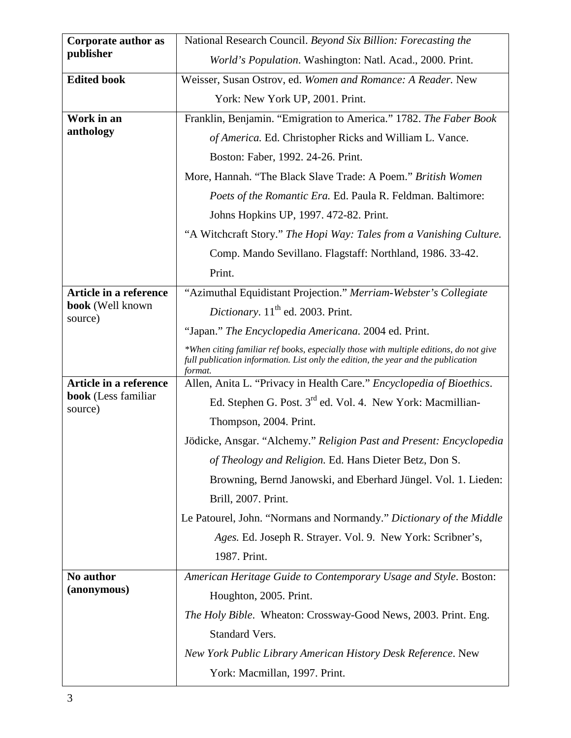| Corporate author as            | National Research Council. Beyond Six Billion: Forecasting the                                                                                                                        |
|--------------------------------|---------------------------------------------------------------------------------------------------------------------------------------------------------------------------------------|
| publisher                      | World's Population. Washington: Natl. Acad., 2000. Print.                                                                                                                             |
| <b>Edited book</b>             | Weisser, Susan Ostrov, ed. Women and Romance: A Reader. New                                                                                                                           |
|                                | York: New York UP, 2001. Print.                                                                                                                                                       |
| Work in an                     | Franklin, Benjamin. "Emigration to America." 1782. The Faber Book                                                                                                                     |
| anthology                      | of America. Ed. Christopher Ricks and William L. Vance.                                                                                                                               |
|                                | Boston: Faber, 1992. 24-26. Print.                                                                                                                                                    |
|                                | More, Hannah. "The Black Slave Trade: A Poem." British Women                                                                                                                          |
|                                | Poets of the Romantic Era. Ed. Paula R. Feldman. Baltimore:                                                                                                                           |
|                                | Johns Hopkins UP, 1997. 472-82. Print.                                                                                                                                                |
|                                | "A Witchcraft Story." The Hopi Way: Tales from a Vanishing Culture.                                                                                                                   |
|                                | Comp. Mando Sevillano. Flagstaff: Northland, 1986. 33-42.                                                                                                                             |
|                                | Print.                                                                                                                                                                                |
| Article in a reference         | "Azimuthal Equidistant Projection." Merriam-Webster's Collegiate                                                                                                                      |
| book (Well known<br>source)    | Dictionary. 11 <sup>th</sup> ed. 2003. Print.                                                                                                                                         |
|                                | "Japan." The Encyclopedia Americana. 2004 ed. Print.                                                                                                                                  |
|                                | *When citing familiar ref books, especially those with multiple editions, do not give<br>full publication information. List only the edition, the year and the publication<br>format. |
| Article in a reference         | Allen, Anita L. "Privacy in Health Care." Encyclopedia of Bioethics.                                                                                                                  |
| book (Less familiar<br>source) | Ed. Stephen G. Post. 3 <sup>rd</sup> ed. Vol. 4. New York: Macmillian-                                                                                                                |
|                                | Thompson, 2004. Print.                                                                                                                                                                |
|                                | Jödicke, Ansgar. "Alchemy." Religion Past and Present: Encyclopedia                                                                                                                   |
|                                | of Theology and Religion. Ed. Hans Dieter Betz, Don S.                                                                                                                                |
|                                | Browning, Bernd Janowski, and Eberhard Jüngel. Vol. 1. Lieden:                                                                                                                        |
|                                | Brill, 2007. Print.                                                                                                                                                                   |
|                                | Le Patourel, John. "Normans and Normandy." Dictionary of the Middle                                                                                                                   |
|                                | Ages. Ed. Joseph R. Strayer. Vol. 9. New York: Scribner's,                                                                                                                            |
|                                | 1987. Print.                                                                                                                                                                          |
| No author                      | American Heritage Guide to Contemporary Usage and Style. Boston:                                                                                                                      |
| (anonymous)                    | Houghton, 2005. Print.                                                                                                                                                                |
|                                | The Holy Bible. Wheaton: Crossway-Good News, 2003. Print. Eng.                                                                                                                        |
|                                | Standard Vers.                                                                                                                                                                        |
|                                | New York Public Library American History Desk Reference. New                                                                                                                          |
|                                | York: Macmillan, 1997. Print.                                                                                                                                                         |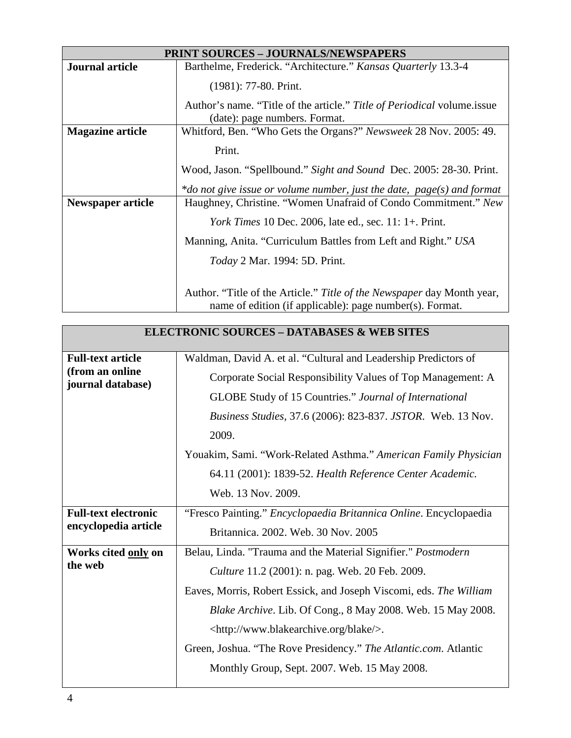| <b>PRINT SOURCES - JOURNALS/NEWSPAPERS</b> |                                                                                                                                    |
|--------------------------------------------|------------------------------------------------------------------------------------------------------------------------------------|
| <b>Journal article</b>                     | Barthelme, Frederick. "Architecture." Kansas Quarterly 13.3-4                                                                      |
|                                            | $(1981): 77-80.$ Print.                                                                                                            |
|                                            | Author's name. "Title of the article." Title of Periodical volume.issue<br>(date): page numbers. Format.                           |
| <b>Magazine article</b>                    | Whitford, Ben. "Who Gets the Organs?" Newsweek 28 Nov. 2005: 49.                                                                   |
|                                            | Print.                                                                                                                             |
|                                            | Wood, Jason. "Spellbound." Sight and Sound Dec. 2005: 28-30. Print.                                                                |
|                                            | *do not give issue or volume number, just the date, $page(s)$ and format                                                           |
| <b>Newspaper article</b>                   | Haughney, Christine. "Women Unafraid of Condo Commitment." New                                                                     |
|                                            | <i>York Times</i> 10 Dec. 2006, late ed., sec. 11: 1+. Print.                                                                      |
|                                            | Manning, Anita. "Curriculum Battles from Left and Right." USA                                                                      |
|                                            | <i>Today</i> 2 Mar. 1994: 5D. Print.                                                                                               |
|                                            | Author. "Title of the Article." Title of the Newspaper day Month year,<br>name of edition (if applicable): page number(s). Format. |

| <b>ELECTRONIC SOURCES - DATABASES &amp; WEB SITES</b>            |                                                                                                                                                                                                                                                                                                                                                                                                                                        |
|------------------------------------------------------------------|----------------------------------------------------------------------------------------------------------------------------------------------------------------------------------------------------------------------------------------------------------------------------------------------------------------------------------------------------------------------------------------------------------------------------------------|
| <b>Full-text article</b><br>(from an online<br>journal database) | Waldman, David A. et al. "Cultural and Leadership Predictors of<br>Corporate Social Responsibility Values of Top Management: A<br><b>GLOBE Study of 15 Countries." Journal of International</b><br>Business Studies, 37.6 (2006): 823-837. JSTOR. Web. 13 Nov.<br>2009.<br>Youakim, Sami. "Work-Related Asthma." American Family Physician<br>64.11 (2001): 1839-52. Health Reference Center Academic.<br>Web. 13 Nov. 2009.           |
| <b>Full-text electronic</b><br>encyclopedia article              | "Fresco Painting." <i>Encyclopaedia Britannica Online</i> . Encyclopaedia<br>Britannica. 2002. Web. 30 Nov. 2005                                                                                                                                                                                                                                                                                                                       |
| Works cited only on<br>the web                                   | Belau, Linda. "Trauma and the Material Signifier." Postmodern<br><i>Culture</i> 11.2 (2001): n. pag. Web. 20 Feb. 2009.<br>Eaves, Morris, Robert Essick, and Joseph Viscomi, eds. The William<br>Blake Archive. Lib. Of Cong., 8 May 2008. Web. 15 May 2008.<br><http: blake="" www.blakearchive.org=""></http:> .<br>Green, Joshua. "The Rove Presidency." The Atlantic.com. Atlantic<br>Monthly Group, Sept. 2007. Web. 15 May 2008. |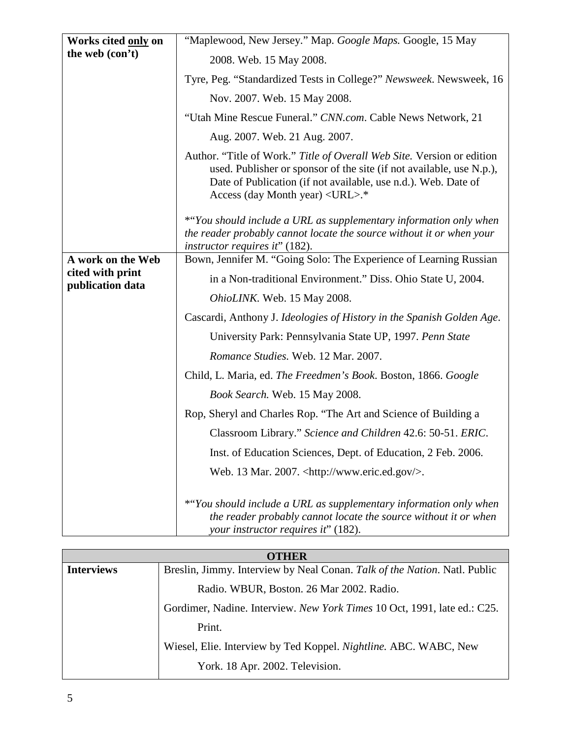| Works cited only on                  | "Maplewood, New Jersey." Map. Google Maps. Google, 15 May                                                                                                                                                                                                 |
|--------------------------------------|-----------------------------------------------------------------------------------------------------------------------------------------------------------------------------------------------------------------------------------------------------------|
| the web (con't)                      | 2008. Web. 15 May 2008.                                                                                                                                                                                                                                   |
|                                      | Tyre, Peg. "Standardized Tests in College?" Newsweek. Newsweek, 16                                                                                                                                                                                        |
|                                      | Nov. 2007. Web. 15 May 2008.                                                                                                                                                                                                                              |
|                                      | "Utah Mine Rescue Funeral." CNN.com. Cable News Network, 21                                                                                                                                                                                               |
|                                      | Aug. 2007. Web. 21 Aug. 2007.                                                                                                                                                                                                                             |
|                                      | Author. "Title of Work." Title of Overall Web Site. Version or edition<br>used. Publisher or sponsor of the site (if not available, use N.p.),<br>Date of Publication (if not available, use n.d.). Web. Date of<br>Access (day Month year) <url>.*</url> |
|                                      | *"You should include a URL as supplementary information only when<br>the reader probably cannot locate the source without it or when your<br><i>instructor requires it</i> " (182).                                                                       |
| A work on the Web                    | Bown, Jennifer M. "Going Solo: The Experience of Learning Russian                                                                                                                                                                                         |
| cited with print<br>publication data | in a Non-traditional Environment." Diss. Ohio State U, 2004.                                                                                                                                                                                              |
|                                      | OhioLINK. Web. 15 May 2008.                                                                                                                                                                                                                               |
|                                      | Cascardi, Anthony J. Ideologies of History in the Spanish Golden Age.                                                                                                                                                                                     |
|                                      | University Park: Pennsylvania State UP, 1997. Penn State                                                                                                                                                                                                  |
|                                      | Romance Studies. Web. 12 Mar. 2007.                                                                                                                                                                                                                       |
|                                      | Child, L. Maria, ed. The Freedmen's Book. Boston, 1866. Google                                                                                                                                                                                            |
|                                      | Book Search. Web. 15 May 2008.                                                                                                                                                                                                                            |
|                                      | Rop, Sheryl and Charles Rop. "The Art and Science of Building a                                                                                                                                                                                           |
|                                      | Classroom Library." Science and Children 42.6: 50-51. ERIC.                                                                                                                                                                                               |
|                                      | Inst. of Education Sciences, Dept. of Education, 2 Feb. 2006.                                                                                                                                                                                             |
|                                      | Web. 13 Mar. 2007. <http: www.eric.ed.gov=""></http:> .                                                                                                                                                                                                   |
|                                      | *"You should include a URL as supplementary information only when<br>the reader probably cannot locate the source without it or when<br>your instructor requires it" (182).                                                                               |

| <b>OTHER</b>      |                                                                           |
|-------------------|---------------------------------------------------------------------------|
| <b>Interviews</b> | Breslin, Jimmy. Interview by Neal Conan. Talk of the Nation. Natl. Public |
|                   | Radio. WBUR, Boston. 26 Mar 2002. Radio.                                  |
|                   | Gordimer, Nadine. Interview. New York Times 10 Oct, 1991, late ed.: C25.  |
|                   | Print.                                                                    |
|                   | Wiesel, Elie. Interview by Ted Koppel. Nightline. ABC. WABC, New          |
|                   | York. 18 Apr. 2002. Television.                                           |